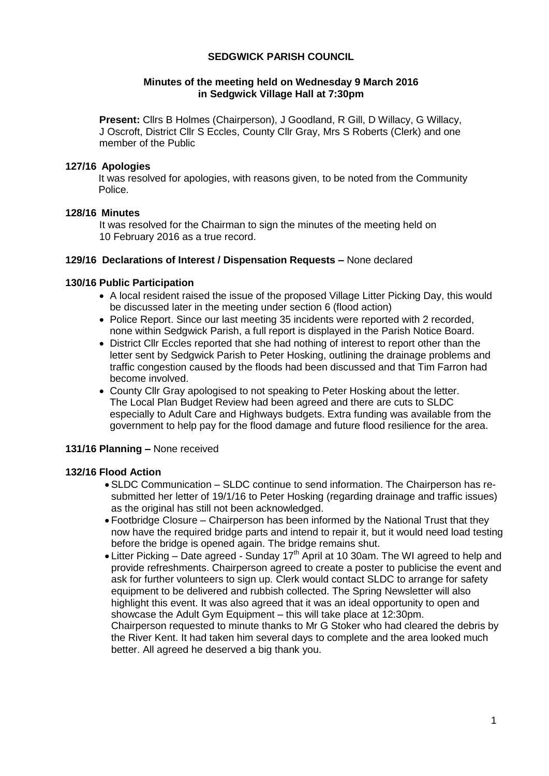## **SEDGWICK PARISH COUNCIL**

## **Minutes of the meeting held on Wednesday 9 March 2016 in Sedgwick Village Hall at 7:30pm**

**Present:** Cllrs B Holmes (Chairperson), J Goodland, R Gill, D Willacy, G Willacy, J Oscroft, District Cllr S Eccles, County Cllr Gray, Mrs S Roberts (Clerk) and one member of the Public

### **127/16 Apologies**

It was resolved for apologies, with reasons given, to be noted from the Community Police.

## **128/16 Minutes**

It was resolved for the Chairman to sign the minutes of the meeting held on 10 February 2016 as a true record.

## **129/16 Declarations of Interest / Dispensation Requests –** None declared

## **130/16 Public Participation**

- A local resident raised the issue of the proposed Village Litter Picking Day, this would be discussed later in the meeting under section 6 (flood action)
- Police Report. Since our last meeting 35 incidents were reported with 2 recorded, none within Sedgwick Parish, a full report is displayed in the Parish Notice Board.
- District Cllr Eccles reported that she had nothing of interest to report other than the letter sent by Sedgwick Parish to Peter Hosking, outlining the drainage problems and traffic congestion caused by the floods had been discussed and that Tim Farron had become involved.
- County Cllr Gray apologised to not speaking to Peter Hosking about the letter. The Local Plan Budget Review had been agreed and there are cuts to SLDC especially to Adult Care and Highways budgets. Extra funding was available from the government to help pay for the flood damage and future flood resilience for the area.

# **131/16 Planning –** None received

# **132/16 Flood Action**

- SLDC Communication SLDC continue to send information. The Chairperson has resubmitted her letter of 19/1/16 to Peter Hosking (regarding drainage and traffic issues) as the original has still not been acknowledged.
- Footbridge Closure Chairperson has been informed by the National Trust that they now have the required bridge parts and intend to repair it, but it would need load testing before the bridge is opened again. The bridge remains shut.
- Litter Picking Date agreed Sunday 17<sup>th</sup> April at 10 30am. The WI agreed to help and provide refreshments. Chairperson agreed to create a poster to publicise the event and ask for further volunteers to sign up. Clerk would contact SLDC to arrange for safety equipment to be delivered and rubbish collected. The Spring Newsletter will also highlight this event. It was also agreed that it was an ideal opportunity to open and showcase the Adult Gym Equipment – this will take place at 12:30pm. Chairperson requested to minute thanks to Mr G Stoker who had cleared the debris by the River Kent. It had taken him several days to complete and the area looked much better. All agreed he deserved a big thank you.

1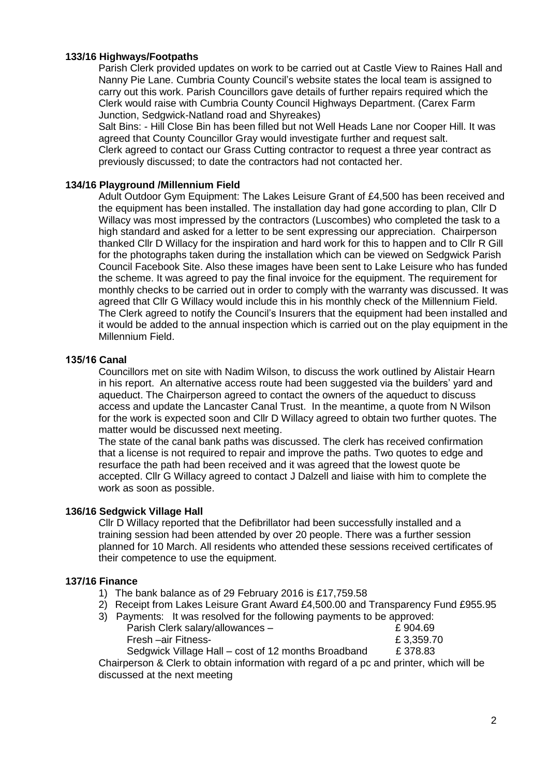## **133/16 Highways/Footpaths**

Parish Clerk provided updates on work to be carried out at Castle View to Raines Hall and Nanny Pie Lane. Cumbria County Council's website states the local team is assigned to carry out this work. Parish Councillors gave details of further repairs required which the Clerk would raise with Cumbria County Council Highways Department. (Carex Farm Junction, Sedgwick-Natland road and Shyreakes)

Salt Bins: - Hill Close Bin has been filled but not Well Heads Lane nor Cooper Hill. It was agreed that County Councillor Gray would investigate further and request salt. Clerk agreed to contact our Grass Cutting contractor to request a three year contract as previously discussed; to date the contractors had not contacted her.

#### **134/16 Playground /Millennium Field**

Adult Outdoor Gym Equipment: The Lakes Leisure Grant of £4,500 has been received and the equipment has been installed. The installation day had gone according to plan, Cllr D Willacy was most impressed by the contractors (Luscombes) who completed the task to a high standard and asked for a letter to be sent expressing our appreciation. Chairperson thanked Cllr D Willacy for the inspiration and hard work for this to happen and to Cllr R Gill for the photographs taken during the installation which can be viewed on Sedgwick Parish Council Facebook Site. Also these images have been sent to Lake Leisure who has funded the scheme. It was agreed to pay the final invoice for the equipment. The requirement for monthly checks to be carried out in order to comply with the warranty was discussed. It was agreed that Cllr G Willacy would include this in his monthly check of the Millennium Field. The Clerk agreed to notify the Council's Insurers that the equipment had been installed and it would be added to the annual inspection which is carried out on the play equipment in the Millennium Field.

#### **135/16 Canal**

Councillors met on site with Nadim Wilson, to discuss the work outlined by Alistair Hearn in his report. An alternative access route had been suggested via the builders' yard and aqueduct. The Chairperson agreed to contact the owners of the aqueduct to discuss access and update the Lancaster Canal Trust. In the meantime, a quote from N Wilson for the work is expected soon and Cllr D Willacy agreed to obtain two further quotes. The matter would be discussed next meeting.

The state of the canal bank paths was discussed. The clerk has received confirmation that a license is not required to repair and improve the paths. Two quotes to edge and resurface the path had been received and it was agreed that the lowest quote be accepted. Cllr G Willacy agreed to contact J Dalzell and liaise with him to complete the work as soon as possible.

#### **136/16 Sedgwick Village Hall**

Cllr D Willacy reported that the Defibrillator had been successfully installed and a training session had been attended by over 20 people. There was a further session planned for 10 March. All residents who attended these sessions received certificates of their competence to use the equipment.

#### **137/16 Finance**

- 1) The bank balance as of 29 February 2016 is £17,759.58
- 2) Receipt from Lakes Leisure Grant Award £4,500.00 and Transparency Fund £955.95
- 3) Payments: It was resolved for the following payments to be approved: Parish Clerk salary/allowances –  $\epsilon$  904.69 Fresh –air Fitness-<br>
£ 3,359.70 Sedgwick Village Hall – cost of 12 months Broadband £ 378.83

Chairperson & Clerk to obtain information with regard of a pc and printer, which will be discussed at the next meeting